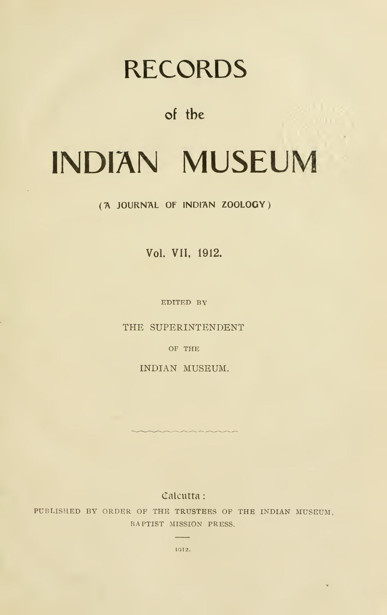# RECORDS

of the

# INDIAN MUSEUM

('A JOURNAL OF INDl'AN ZOOLOGY)

Vol. VII, 1912.

EDITED BY

THE SUPERINTENDENT

OF THE

INDIAN MUSEUM.

Calcutta:

PUBLISHED BY ORDER OF THE TRUSTEES OF THE INDIAN MUSEUM, BAPTIST MISSION PRESS.

> **Service** IQI2.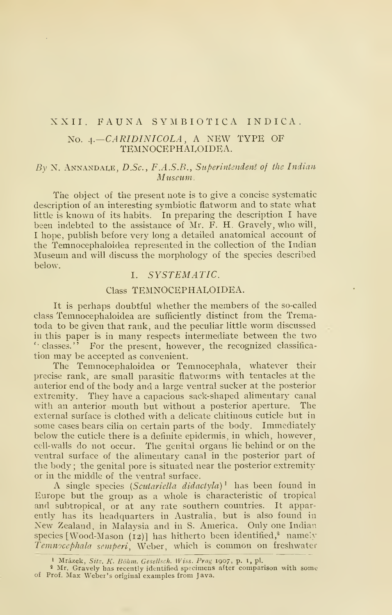# XXII. FAUNA SYIMBIOTICA INDICA.

# No.  $4. - CARIDINICOLA$ , A NEW TYPE OF TEMNOCEPHALOIDEA.

# By N. ANNANDALE,  $D.Sc$ , F.A.S.B., Superintendent of the Indian Museum.

The object of the present note is to give a concise systematic description of an interesting symbiotic flatworm and to state what little is known of its habits. In preparing the description <sup>I</sup> have been indebted to the assistance of Mr. F. H. Gravely, who will, <sup>I</sup> hope, publish before very long a detailed anatomical account of the Temnocephaloidea represented in the collection of the Indian Museum and will discuss the morphology of the species described below.

# I. SYSTEMATIC.

# Class TEMNOCEPHALOIDEA.

It is perhaps doubtful whether the members of the so-called class Temnocephaloidea are sufficiently distinct from the Trematoda to be given that rank, and the peculiar little worm discussed in this paper is in many respects intermediate between the two " classes." For the present, however, the recognized classification may be accepted as convenient.

The Temnocephaloidea or Temnocephala, whatever their precise rank, are small parasitic flatworms with tentacles at the anterior end of the body and a large ventral sucker at the posterior extremity. They have a capacious sack-shaped alimentary canal with an anterior mouth but without a posterior aperture. The external surface is clothed with a delicate chitinous cuticle but in some cases bears cilia on certain parts of the body. Immediately below the cuticle there is a definite epidermis, in which, however, cell-walls do not occur. The genital organs lie behind or on the ventral surface of the alimentary canal in the posterior part of the body ; the genital pore is situated near the posterior extremityor in the middle of the ventral surface.

A single species (Scutariella didactyla)<sup>1</sup> has been found in Europe but the group as a whole is characteristic of tropical and subtropical, or at any rate southern countries. It apparently has its headquarters in Australia, but is also found in New Zealand, in Malaysia and in S. America. Only one Indian species [Wood-Mason (12)] has hitherto been identified,<sup>2</sup> namely Temnocephala semperi, Weber, which is common on freshwater

<sup>&</sup>lt;sup>1</sup> Mrázek, Sitz. K. Böhm. Gesellsch. Wiss. Prag 1907, p. 1, pl.

<sup>&</sup>lt;sup>2</sup> Mr. Gravely has recently identified specimens after comparison with some of Prof. Max Weber's original examples from Java.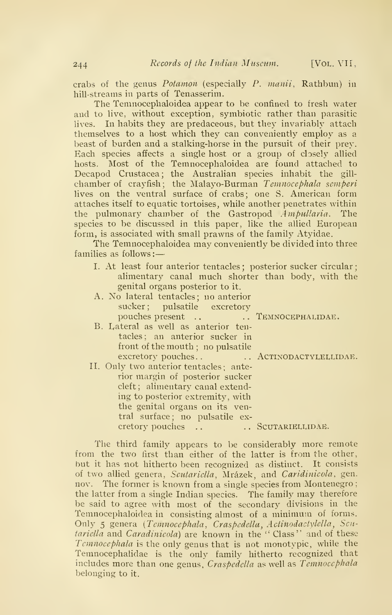crabs of the genus Potamon (especially P. manii, Rathbun) in hill-streams in parts of Tenasserim.

The Temnocephaloidea appear to be confined to fresh water and to live, without exception, symbiotic rather than parasitic lives. In habits they are predaceous, but they invariably attach themselves to a host which they can conveniently employ as a beast of burden and a stalking-horse in the pursuit of their prey. Each species affects a single host or a group of closely allied hosts. Most of the Temnocephaloidea are found attached to Decapod Crustacea; the Australian species inhabit the gillchamber of crayfish; the Malayo-Burman *Temnocephala semperi* lives on the ventral surface of crabs; one S. American form attaches itself to equatic tortoises, while another penetrates within the pulmonary chamber of the Gastropod Ampullaria. The species to be discussed in this paper, like the allied European form, is associated with small prawns of the family Atyidae.

The Temnocephaloidea may conveniently be divided into three families as follows:

I. At least four anterior tentacles ; posterior sucker circular alimentary canal much shorter than body, with the genital organs posterior to it.

| A. No lateral tentacles; no anterior   |  |
|----------------------------------------|--|
| sucker; pulsatile excretory            |  |
| pouches present  TEMNOCEPHALIDAE.      |  |
| B. Lateral as well as anterior ten-    |  |
| tacles; an anterior sucker in          |  |
| front of the mouth; no pulsatile       |  |
| excretory pouches ACTINODACTYLELLIDAE. |  |
| II. Only two anterior tentacles; ante- |  |
| rior margin of posterior sucker        |  |
| cleft; alimentary canal extend-        |  |
| ing to posterior extremity, with       |  |
| the genital organs on its ven-         |  |
| tral surface; no pulsatile ex-         |  |
| cretory pouches  . SCUTARIELLIDAE.     |  |

The third family appears to be considerably more remote from the two first than either of the latter is from the other, but it has not hitherto been recognized as distinct. It consists of two allied genera, Seutariella, Mrázek, and Caridinicola, gen. nov. The former is known from a single species from Montenegro; the latter from <sup>a</sup> single Indian species. The family may therefore be said to agree with most of the secondary divisions in the Temnocephaloidea in consisting almost of a minimum of forms. Only 5 genera (Temnocephala, Craspedella, Actinodactylella, Scutariella and Caradinicola) are known in the " Class" and of these Temnocephala is the only genus that is not monotypic, while the Temnocephalidae is the only family hitherto recognized that includes more than one genus, Craspedella as well as Temnocephala belonging to it.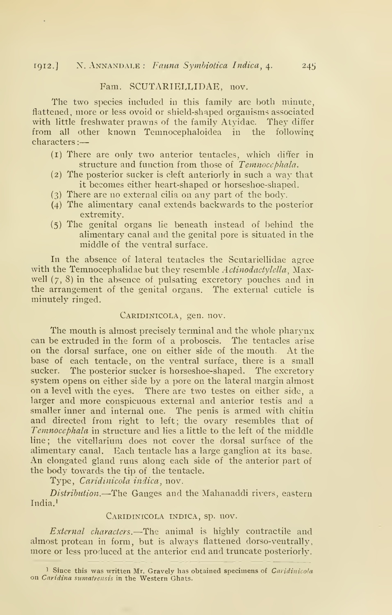#### Fam. SCUTARIELLIDAE, nov.

The two species included in this family are both minute, flattened, more or less ovoid or shield-shaped organisms associated with little freshwater prawns of the family Atyidae. They differ from all other known Temnocephaloidea in the following characters :

- (i) There are only two anterior tentacles, which differ in structure and function from those of Temnoccphala.
- (2) The posterior sucker is cleft anteriorly in such a way that it becomes either heart-shaped or horseshoe-shaped.
- (3) There are no external cilia on any part of the body.
- (4) The alimentary canal extends backwards to the posterior extremity.
- (5) The genital organs lie beneath instead of behind the alimentary canal and the genital pore is situated in the middle of the ventral surface.

In the absence of lateral tentacles the Scutariellidae agree with the Temnocephalidae but they resemble Actinodactylella. Maxwell  $(7, 8)$  in the absence of pulsating excretory pouches and in the arrangement of the genital organs. The external cuticle is minutely ringed,

#### CARIDINICOLA, gen. nov.

The mouth is almost precisely terminal and the whole pharynx can be extruded in the form of a proboscis. The tentacles arise on the dorsal surface, one on either side of the mouth. At the base of each tentacle, on the ventral surface, there is a small sucker. The posterior sucker is horseshoe-shaped. The excretory system opens on either side by a pore on the lateral margin almost on a level with the eyes. There are two testes on either side, a larger and more conspicuous external and anterior testis and a smaller inner and internal one. The penis is armed with chitin and directed from right to left; the ovary resembles that of Temnocephala in structure and lies a little to the left of the middle line; the vitellarium does not cover the dorsal surface of the alimentary canal. Each tentacle has a large ganglion at its base. An elongated gland runs along each side of the anterior part of the body towards the tip of the tentacle.

Type, *Caridinicola indica*, nov.

Distribution.—The Ganges and the Mahanaddi rivers, eastern  $India<sup>1</sup>$ 

#### Caridinicola indica, sp. nov.

External characters.—The animal is highly contractile and almost protean in form, but is always flattened dorso-ventrally, more or less produced at the anterior end and truncate posteriorly.

<sup>&</sup>lt;sup>1</sup> Since this was written Mr. Gravely has obtained specimens of *Caridinicola* on *Caridina sumatrensis* in the Western Ghats.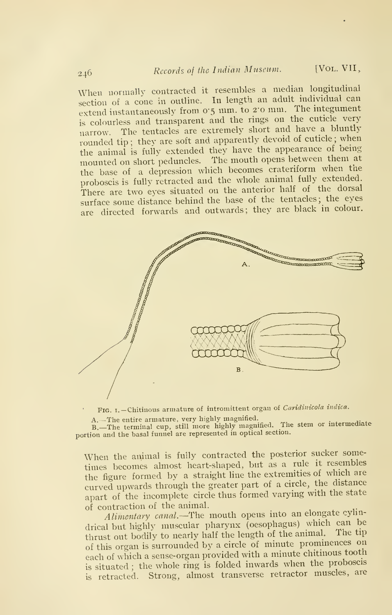When normally contracted it resembles a median longitudinal section of <sup>a</sup> cone in outline. In length an adult individual can extend instantaneously from 0.5 mm. to 2.0 mm. The integument is colourless and transparent and the rings on the cuticle very narrow. The tentacles are extremely short and have <sup>a</sup> bluntly rounded tip; they are soft and apparently devoid of cuticle; when the animal is fully extended they have the appearance of being mounted on short peduncles. The mouth opens between them at the base of <sup>a</sup> depression which becomes crateriform when the proboscis is fully retracted and the whole animal fully extended. There are two eyes situated on the anterior half of the dorsal surface some distance behind the base of the tentacles; the eyes are directed forwards and outwards; they are black in colour.



FIG. I. - Chitinous armature of intromittent organ of Caridinicola indica.

A.—The entire armature, very highly magnified.<br>B.—The terminal cup, still more highly magnified. The stem or intermediate<br>portion and the basal funnel are represented in optical section.

When the animal is fully contracted the posterior sucker sometimes becomes almost heart-shaped, but as <sup>a</sup> rule it resembles the figure formed bv <sup>a</sup> straight line the extremities of which are curved upwards through the greater part of <sup>a</sup> circle, the distance apart of the incomplete circle thus formed varying with the state of contraction of the animal.

Alimentary canal.—The mouth opens into an elongate cylindrical but highly muscular pharynx (oesophagus) which can be thrust out bodily to nearly half the length of the animal. The tip of this organ is surrounded by <sup>a</sup> circle of minute prominences on each of which <sup>a</sup> sense-organ provided with <sup>a</sup> minute chitmous tooth is situated ; the whole ring is folded inwards when the proboscis is retracted. Strong, almost transverse retractor muscles, are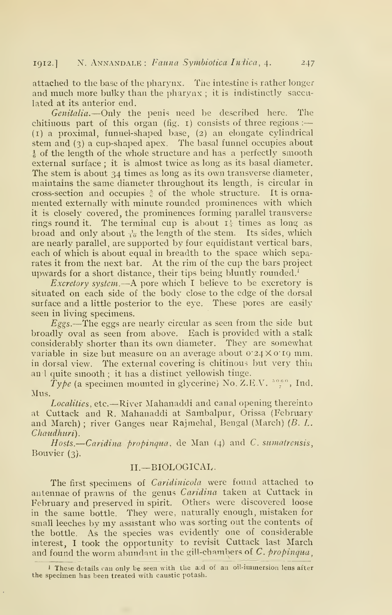attached to the base of the pharynx. The intestine is rather longer and much more bulky than the pharynx ; it is indistinctly sacculated at its anterior end.

Genitalia.--Only the penis need be described here. The chitinous part of this organ (fig.  $\mathbf{r}$ ) consists of three regions :-(i) a proximal, funnel-shaped base, (2) an elongate cylindrical stem and (3) a cup-shaped apex. The basal funnel occupies about  $\frac{1}{6}$  of the length of the whole structure and has a perfectly smooth external surface ; it is almost twice as long as its basal diameter. The stem is about 34 times as long as its own transverse diameter, maintains the same diameter throughout its length, is circular in cross-section and occupies  $\frac{5}{6}$  of the whole structure. It is ornamented externally with minute rounded prominences with which it is closely covered, the prominences forming parallel transverse rings round it. The terminal cup is about  $I_5^{\perp}$  times as long as broad and only about  $\frac{1}{10}$  the length of the stem. Its sides, which are nearly parallel, are supported by four equidistant vertical bars, each of which is about equal in breadth to the space which separates it from the next bar. At the rim of the cup the bars project upwards for a short distance, their tips being bluntly rounded.'

*Excretory system.*  $-A$  pore which I believe to be excretory is situated on each side of the body close to the edge of the dorsal surface and a little posterior to the eye. These pores are easily seen in living specimens.

 $E$ ggs.—The eggs are nearly circular as seen from the side but broadly oval as seen from above. Each is provided with a stalk considerably shorter than its own diameter. They are somewhat variable in size but measure on an average about 0.24X0.19 mm. in dorsal view. The external covering is chitinous but very thin an <sup>1</sup> quite smooth ; it has a distinct yellowish tinge.

Type (a specimen mounted in glycerine) No. Z.E.V.  $^{5060}_{7}$ , Ind. Mus.

Localities, etc.—River Mahanaddi and canal opening thereinto at Cuttack and R. Mahanaddi at Sambalpur, Orissa (February and March); river Ganges near Rajmehal, Bengal (March)  $(B, L, L)$ Chaudhuri).

 $Hosts.$ -Caridina propinqua, de Man  $(4)$  and C. sumatrensis, Bouvier (3).

# II.— BIOLOGICAL.

The first specimens of *Caridinicola* were found attached to antennae of prawns of the genus Caridina taken at Cuttack in February and preserved in spirit. Others were discovered loose in the same bottle. They were, naturally enough, mistaken for small leeches by my assistant who was sorting out the contents of the bottle. As the species was evidently one of considerable interest, <sup>I</sup> took the opportunity to revisit Cuttack last March and found the worm abundant in the gill-chambers of C. propinqua.

<sup>&#</sup>x27; These details can only be seen with the a;d of an oil-immersion lens after the specimen has been treated with caustic potash.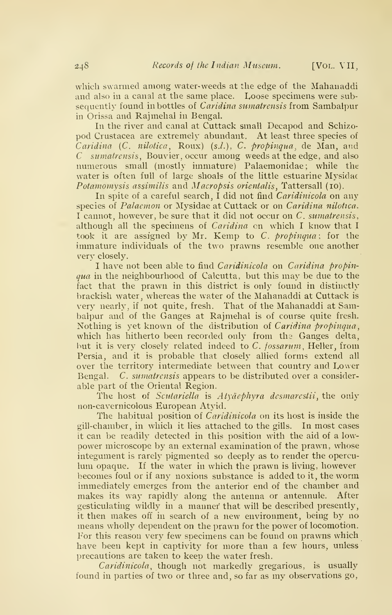which swarmed among water-weeds at the edge of the Mahanaddi and also in a canal at the same place. Loose specimens were subsequently found in bottles of *Caridina sumatrensis* from Sambalpur in Orissa and Rajmehal in Bengal.

In the river and canal at Cuttack small Decapod and Schizopod Crustacea are extremely abundant. At least three species of Caridina  $(C. \nwhile \n *nilotica*, \n *Roux*) \n *(s.l.)*, \n *C. \n *propingua*, \n *de Man*, \n *and**$  $C$  sumatrensis, Bouvier, occur among weeds at the edge, and also numerous small (mostly immature) Palaemonidae; while the water is often full of large shoals of the little estuarine Mysidae Potamomysis assimilis and Macropsis orientalis, Tattersall (10).

In spite of a careful search, I did not find Caridinicola on any species of *Palaemon* or Mysidae at Cuttack or on *Caridina nilotica*. <sup>I</sup> cannot, however, be sure that it did not occur on C. sumatrensis, although all the specimens of Caridina on which <sup>I</sup> know that <sup>I</sup> took it are assigned by Mr. Kemp to C. propinqua; for the immature individuals of the two prawns resemble one another very closely.

I have not been able to find *Caridinicola* on *Caridina propin*qua in the neighbourhood of Calcutta, but this may be due to the fact that the prawn in this district is only found in distinctly brackish water, whereas the water of the Mahanaddi at Cuttack is very nearly, if not quite, fresh. That of the Mahanaddi at Sambalpur and of the Ganges at Rajmehal is of course quite fresh. Nothing is yet known of the distribution of Caridina propinqua, which has hitherto been recorded only from the Ganges delta, but it is very closely related indeed to C. *fossarum*, Heller, from Persia, and it is probable that closely allied forms extend all over the territory intermediate between that country and Lower Bengal. C. sumatrensis appears to be distributed over a considerable part of the Oriental Region.

The host of Scutariella is  $Aty\ddot{\alpha}e\dot{\beta}hyr\alpha$  desmarestii, the only non-cavernicolous European Atyid.

The habitual position of *Caridinicola* on its host is inside the gill-chamber, in which it lies attached to the gills. In most cases it can be readily detected in this position with the aid of a lowpower microscope by an external examination of the prawn, whose integument is rarely pigmented so deeply as to render the operculum opaque. If the water in which the prawn is living, however becomes foul or if any noxious substance is added to it, the worm immediately emerges from the anterior end of the chamber and makes its way rapidly along the antenna or antennule. After gesticulating wildly in a manner that will be described presently, it then makes off in search of a new environment, being by no means wholly dependent on the prawn for the power of locomotion. For this reason very few specimens can be found on prawns which have been kept in captivity for more than a few hours, unless precautions are taken to keep the water fresh.

Caridinicola, though not markedly gregarious, is usually found in parties of two or three and, so far as my observations go,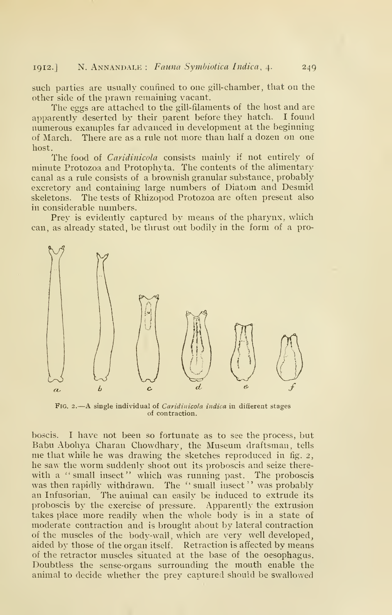such parties are usually confined to one gill-chamber, that on the other side of the prawn remaining vacant.

The eggs are attached to the gill-filaments of the host and are apparently deserted by their parent before they hatch. I found numerous examples far advanced in development at the beginning of March. There are as a rule not more than half a dozen on one host.

The food of *Caridinicola* consists mainly if not entirely of minute Protozoa and Protophyta. The contents of the alimentary canal as a rule consists of a brownish granular substance, probably excretory and containing large numbers of Diatom and Desmid skeletons. The tests of Rhizopod Protozoa are often present also in considerable numbers.

Prey is evidently captured by means of the pharynx, which can, as already stated, be thrust out bodily in the form of a pro-



FIG. 2.- A single individual of *Caridinicola indica* in different stages of contraction.

boscis. <sup>I</sup> have not been so fortunate as to see the process, but Babu Abohya Charan Chowdhary, the Museum draftsman, tells me that while he was drawing the sketches reproduced in fig. 2, he saw the worm suddenly shoot out its proboscis and seize therewith a "small insect" which was running past. The proboscis was then rapidly withdrawn. The "small insect" was probably an Infusorian. The animal can easily be induced to extrude its proboscis by the exercise of pressure. Apparently the extrusion takes place more readily when the whole body is in a state of moderate contraction and is brought about by lateral contraction of the muscles of the body-wall, which are very well developed, aided by those of the organ itself. Retraction is affected by means of the retractor muscles situated at the base of the oesophagus. Doubtless the sense-organs surrounding the mouth enable the animal to decide whether the prey captured should be swallowed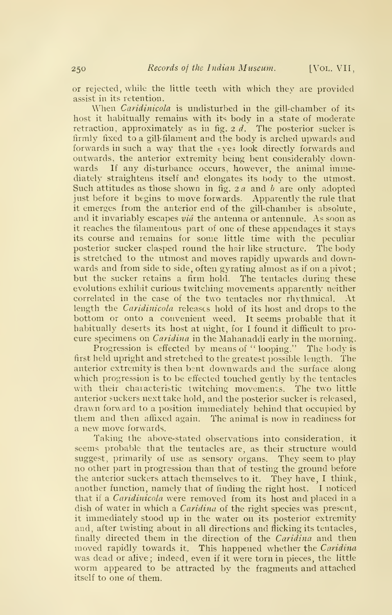or rejected, while the little teeth with which they are provided assist in its retention.

When *Caridinicola* is undisturbed in the gill-chamber of its host it habitually remains with its body in a state of moderate retraction, approximately as in fig.  $2 d$ . The posterior sucker is firmly fixed to a gill-filament and the body is arched upwards and forwards in such a way that the eyes look directly forwards and outwards, the anterior extremity being bent considerably downwards If any disturbance occurs, however, the animal immediately straightens itself and elongates its body to the utmost. Such attitudes as those shown in fig.  $2a$  and  $b$  are only adopted just before it begins to move forwards. Apparently the rule that it emerges from the anterior end of the gill-chamber is absolute, and it invariably escapes  $vi\hat{a}$  the antenna or antennule. As soon as it reaches the filamentous part of one of these appendages it stays its course and remains for some little time with the peculiar posterior sucker clasped round the hair like structure. The body is stretched to the utmost and moves rapidly upwards and downwards and from side to side, often gyrating almost as if on a pivot; but the sucker retains a firm hold. The tentacles during these evolutions exhibit curious twitching movements apparently neither correlated in the case of the two tentacles nor rhythmical. At length the *Caridinicola* releases hold of its host and drops to the bottom or onto a convenient weed. It seems probable that it habitually deserts its host at night, for I found it difficult to pro cure specimens on *Caridina* in the Mahanaddi early in the morning.

Progression is effected by means of "looping." The body is first held upright and stretched to the greatest possible length. The anterior extremity is then bent downwards and the surface along which progression is to be effected touched gently by the tentacles with their characteristic twitching movements. The two little anterior suckers next take hold, and the posterior sucker is released, drawn forward to a position immediately behind that occupied by them and then affixed again. The animal is now in readiness for a new move forwards.

Taking the above-stated observations into consideration, it seems probable that the tentacles are, as their structure would suggest, primarily of use as sensory organs. They seem to play no other part in progression than that of testing the ground before the anterior suckers attach themselves to it. They have, <sup>I</sup> think, another function, namely that of finding the right host. <sup>I</sup> noticed that if a *Caridinicola* were removed from its host and placed in a dish of water in which a *Caridina* of the right species was present, it immediately stood up in the water on its posterior extremity and, after twisting about in all directions and flicking its tentacles, finally directed them in the direction of the Caridina and then moved rapidly towards it. This happened whether the Caridina was dead or alive; indeed, even if it were torn in pieces, the little worm appeared to be attracted by the fragments and attached itself to one of them.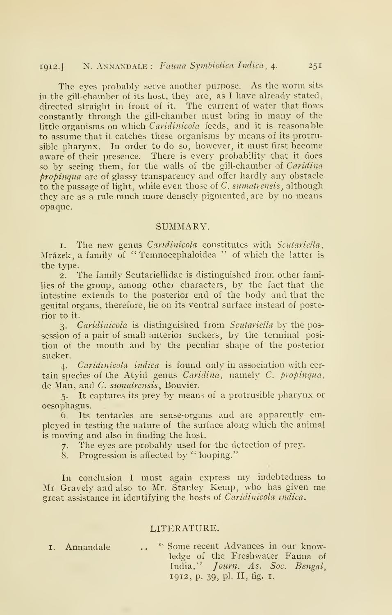# 1912.] N. ANNANDALE : Fauna Symbiotica Indica, 4. 251

The eyes probably serve another purpose. As the worm sits in the gill-chamber of its host, they are, as <sup>I</sup> have already stated, directed straight in front of it. The current of water that flows constantly through the gill-chamber must bring in many of the little organisms on which Caridinicola feeds, and it is reasonable to assume that it catches these organisms by means of its protrusible pharynx. In order to do so, however, it must first become aware of their presence. There is every probability that it does so by seeing them, for the walls of the gill-chamber of Caridina propinqua are of glassy transparency and offer hardly any obstacle to the passage of light, while even those of C, *sumatrensis*, although they are as a rule much more densely pigmented, are by no means opaque.

#### SUMMARY.

1. The new genus *Caridinicola* constitutes with *Scutariella*, Mrázek, a family of " Temnocephaloidea " of which the latter is the type.

2. The family Scutariellidae is distinguished from other families of the group, among other characters, by the fact that the intestine extends to the posterior end of the body and that the genital organs, therefore, lie on its ventral surface instead of posterior to it.

3. Caridinicola is distinguished from Scutariella by the possession of a pair of small anterior suckers, by the terminal position of the mouth and by the peculiar shape of the posterior sucker.

4. Caridinicola indica is found only in association with cer tain species of the Atyid genus  $\textit{Caridina}$ , namely  $\textit{C.}$  propinqua, de Man, and C. sumatrensis, Bouvier.

5. It captures its prey by means of a protrusible pharynx or oesophagus.

 $6.$  Its tentacles are sense-organs and are apparently employed in testing the nature of the surface along which the animal is moving and also in finding the host.

7. The eyes are probably used for the detection of prey.

8. Progression is affected by '' looping."

In conclusion <sup>1</sup> must again express my indebtedness to Mr Gravely and also to Mr. Stanley Kemp, who has given me great assistance in identifying the hosts of Caridinicola indica.

#### LITERATURE.

- 
- Annandale .. " Some recent Advances in our knowledge of the Freshwater Fauna of India," Journ. As. Soc. Bengal, 1912, p. 39, pi. II, fig. I.